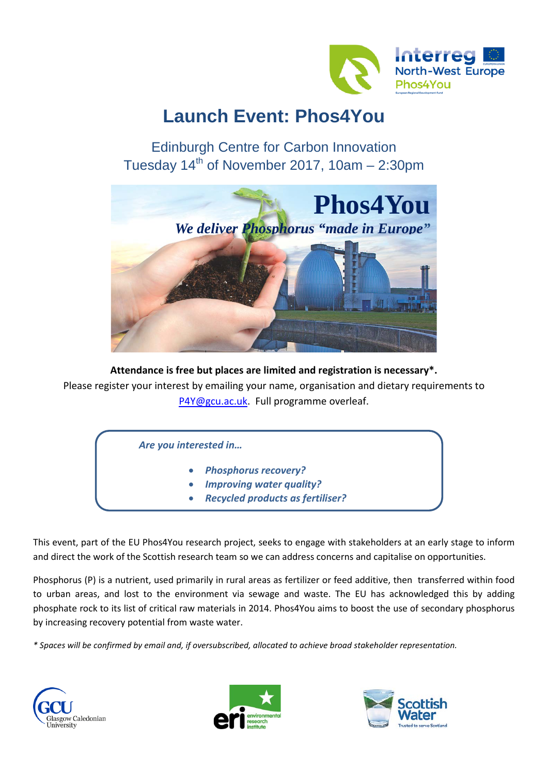

## **Launch Event: Phos4You**

Edinburgh Centre for Carbon Innovation Tuesday  $14<sup>th</sup>$  of November 2017, 10am  $-$  2:30pm



## **Attendance is free but places are limited and registration is necessary\*.**

Please register your interest by emailing your name, organisation and dietary requirements to [P4Y@gcu.ac.uk.](mailto:P4Y@gcu.ac.uk) Full programme overleaf.

*Are you interested in…*

- *Phosphorus recovery?*
- *Improving water quality?*
- *Recycled products as fertiliser?*

This event, part of the EU Phos4You research project, seeks to engage with stakeholders at an early stage to inform and direct the work of the Scottish research team so we can address concerns and capitalise on opportunities.

Phosphorus (P) is a nutrient, used primarily in rural areas as fertilizer or feed additive, then transferred within food to urban areas, and lost to the environment via sewage and waste. The EU has acknowledged this by adding phosphate rock to its list of critical raw materials in 2014. Phos4You aims to boost the use of secondary phosphorus by increasing recovery potential from waste water.

*\* Spaces will be confirmed by email and, if oversubscribed, allocated to achieve broad stakeholder representation.*